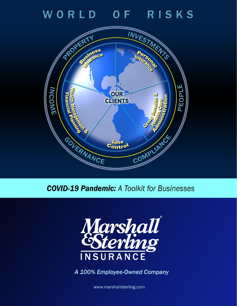WORLD OF RISKS



**COVID-19 Pandemic:** A Toolkit for Businesses



A 100% Employee-Owned Company

www.marshallsterling.com